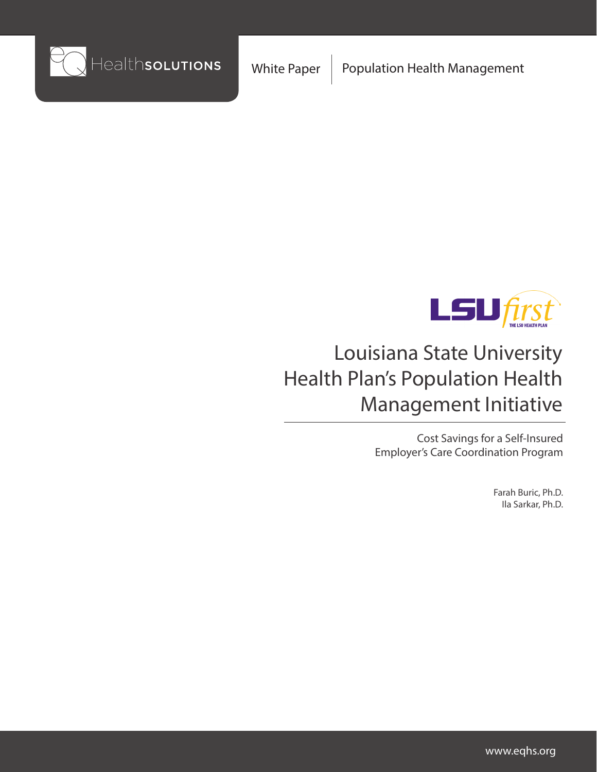



# Louisiana State University Health Plan's Population Health Management Initiative

Cost Savings for a Self-Insured Employer's Care Coordination Program

> Farah Buric, Ph.D. Ila Sarkar, Ph.D.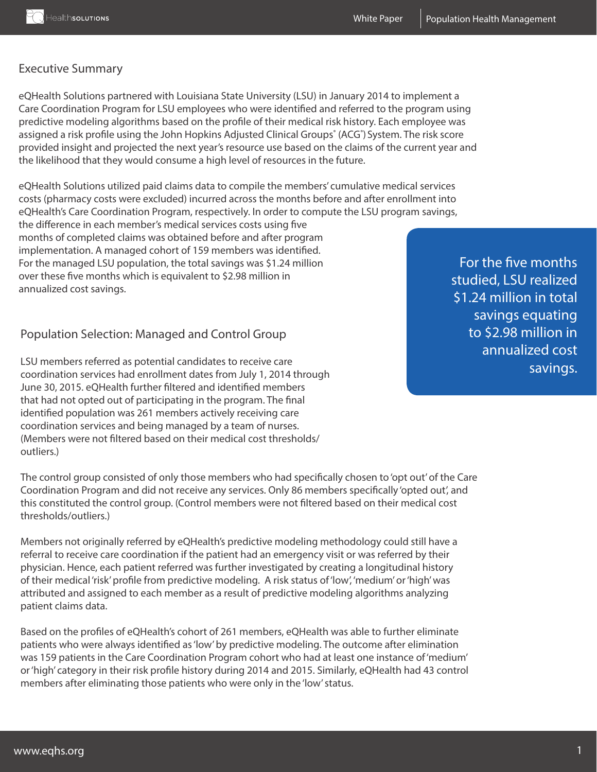## Executive Summary

eQHealth Solutions partnered with Louisiana State University (LSU) in January 2014 to implement a Care Coordination Program for LSU employees who were identified and referred to the program using predictive modeling algorithms based on the profile of their medical risk history. Each employee was assigned a risk profile using the John Hopkins Adjusted Clinical Groups° (ACG°) System. The risk score provided insight and projected the next year's resource use based on the claims of the current year and the likelihood that they would consume a high level of resources in the future.

eQHealth Solutions utilized paid claims data to compile the members' cumulative medical services costs (pharmacy costs were excluded) incurred across the months before and after enrollment into eQHealth's Care Coordination Program, respectively. In order to compute the LSU program savings,

the difference in each member's medical services costs using five months of completed claims was obtained before and after program implementation. A managed cohort of 159 members was identified. For the managed LSU population, the total savings was \$1.24 million over these five months which is equivalent to \$2.98 million in annualized cost savings.

# Population Selection: Managed and Control Group

LSU members referred as potential candidates to receive care coordination services had enrollment dates from July 1, 2014 through June 30, 2015. eQHealth further filtered and identified members that had not opted out of participating in the program. The final identified population was 261 members actively receiving care coordination services and being managed by a team of nurses. (Members were not filtered based on their medical cost thresholds/ outliers.)

The control group consisted of only those members who had specifically chosen to 'opt out' of the Care Coordination Program and did not receive any services. Only 86 members specifically 'opted out', and this constituted the control group. (Control members were not filtered based on their medical cost thresholds/outliers.)

Members not originally referred by eQHealth's predictive modeling methodology could still have a referral to receive care coordination if the patient had an emergency visit or was referred by their physician. Hence, each patient referred was further investigated by creating a longitudinal history of their medical 'risk' profile from predictive modeling. A risk status of 'low', 'medium' or 'high' was attributed and assigned to each member as a result of predictive modeling algorithms analyzing patient claims data.

Based on the profiles of eQHealth's cohort of 261 members, eQHealth was able to further eliminate patients who were always identified as 'low' by predictive modeling. The outcome after elimination was 159 patients in the Care Coordination Program cohort who had at least one instance of 'medium' or 'high' category in their risk profile history during 2014 and 2015. Similarly, eQHealth had 43 control members after eliminating those patients who were only in the 'low' status.

For the five months studied, LSU realized \$1.24 million in total savings equating to \$2.98 million in annualized cost savings.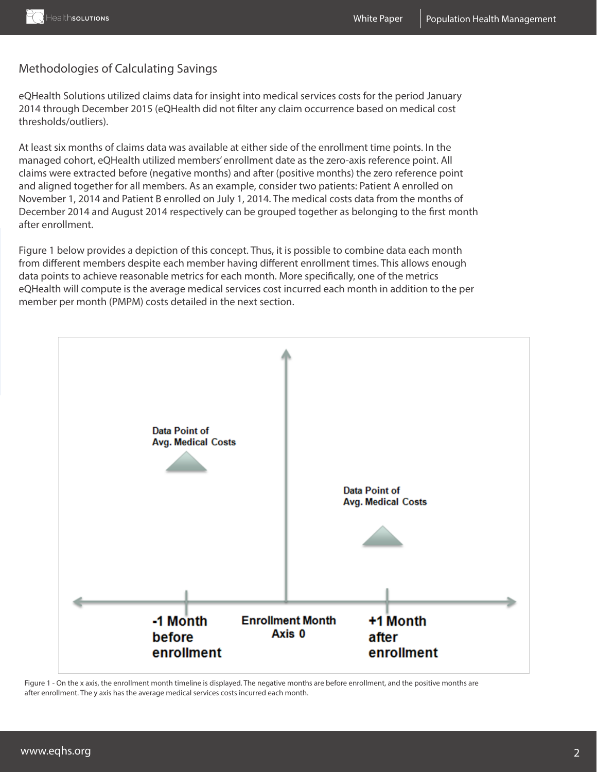# Methodologies of Calculating Savings

eQHealth Solutions utilized claims data for insight into medical services costs for the period January 2014 through December 2015 (eQHealth did not filter any claim occurrence based on medical cost thresholds/outliers).

At least six months of claims data was available at either side of the enrollment time points. In the managed cohort, eQHealth utilized members' enrollment date as the zero-axis reference point. All claims were extracted before (negative months) and after (positive months) the zero reference point and aligned together for all members. As an example, consider two patients: Patient A enrolled on November 1, 2014 and Patient B enrolled on July 1, 2014. The medical costs data from the months of December 2014 and August 2014 respectively can be grouped together as belonging to the first month after enrollment.

Figure 1 below provides a depiction of this concept. Thus, it is possible to combine data each month from different members despite each member having different enrollment times. This allows enough data points to achieve reasonable metrics for each month. More specifically, one of the metrics eQHealth will compute is the average medical services cost incurred each month in addition to the per member per month (PMPM) costs detailed in the next section.



Figure 1 - On the x axis, the enrollment month timeline is displayed. The negative months are before enrollment, and the positive months are after enrollment. The y axis has the average medical services costs incurred each month.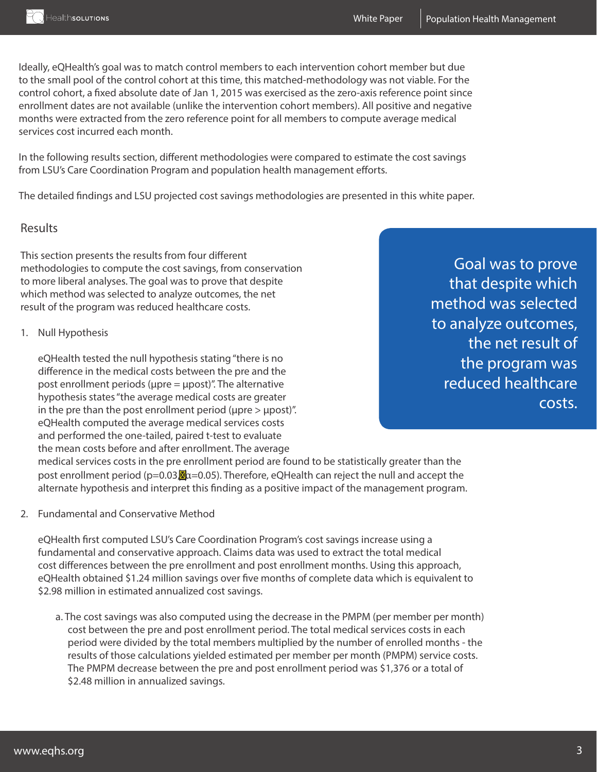

Ideally, eQHealth's goal was to match control members to each intervention cohort member but due to the small pool of the control cohort at this time, this matched-methodology was not viable. For the control cohort, a fixed absolute date of Jan 1, 2015 was exercised as the zero-axis reference point since enrollment dates are not available (unlike the intervention cohort members). All positive and negative months were extracted from the zero reference point for all members to compute average medical services cost incurred each month.

In the following results section, different methodologies were compared to estimate the cost savings from LSU's Care Coordination Program and population health management efforts.

The detailed findings and LSU projected cost savings methodologies are presented in this white paper.

#### Results

This section presents the results from four different methodologies to compute the cost savings, from conservation to more liberal analyses. The goal was to prove that despite which method was selected to analyze outcomes, the net result of the program was reduced healthcare costs.

1. Null Hypothesis

eQHealth tested the null hypothesis stating "there is no difference in the medical costs between the pre and the post enrollment periods ( $\mu$ pre =  $\mu$ post)". The alternative hypothesis states "the average medical costs are greater in the pre than the post enrollment period ( $\mu$ pre  $> \mu$ post)". eQHealth computed the average medical services costs and performed the one-tailed, paired t-test to evaluate the mean costs before and after enrollment. The average

medical services costs in the pre enrollment period are found to be statistically greater than the post enrollment period ( $p=0.03$ ,  $\alpha=0.05$ ). Therefore, eQHealth can reject the null and accept the alternate hypothesis and interpret this finding as a positive impact of the management program.

2. Fundamental and Conservative Method

eQHealth first computed LSU's Care Coordination Program's cost savings increase using a fundamental and conservative approach. Claims data was used to extract the total medical cost differences between the pre enrollment and post enrollment months. Using this approach, eQHealth obtained \$1.24 million savings over five months of complete data which is equivalent to \$2.98 million in estimated annualized cost savings.

a. The cost savings was also computed using the decrease in the PMPM (per member per month) cost between the pre and post enrollment period. The total medical services costs in each period were divided by the total members multiplied by the number of enrolled months - the results of those calculations yielded estimated per member per month (PMPM) service costs. The PMPM decrease between the pre and post enrollment period was \$1,376 or a total of \$2.48 million in annualized savings.

Goal was to prove that despite which method was selected to analyze outcomes, the net result of the program was reduced healthcare costs.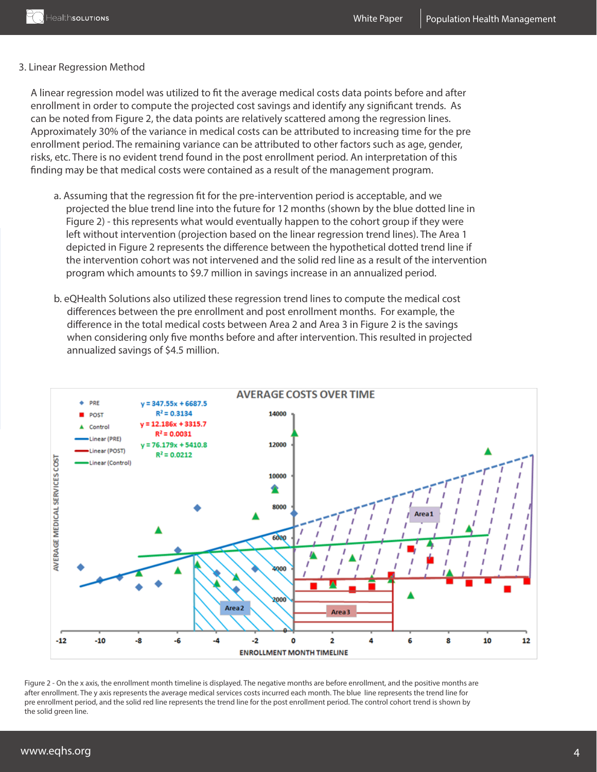#### 3. Linear Regression Method

A linear regression model was utilized to fit the average medical costs data points before and after enrollment in order to compute the projected cost savings and identify any significant trends. As can be noted from Figure 2, the data points are relatively scattered among the regression lines. Approximately 30% of the variance in medical costs can be attributed to increasing time for the pre enrollment period. The remaining variance can be attributed to other factors such as age, gender, risks, etc. There is no evident trend found in the post enrollment period. An interpretation of this finding may be that medical costs were contained as a result of the management program.

- a. Assuming that the regression fit for the pre-intervention period is acceptable, and we projected the blue trend line into the future for 12 months (shown by the blue dotted line in Figure 2) - this represents what would eventually happen to the cohort group if they were left without intervention (projection based on the linear regression trend lines). The Area 1 depicted in Figure 2 represents the difference between the hypothetical dotted trend line if the intervention cohort was not intervened and the solid red line as a result of the intervention program which amounts to \$9.7 million in savings increase in an annualized period.
- b. eQHealth Solutions also utilized these regression trend lines to compute the medical cost differences between the pre enrollment and post enrollment months. For example, the difference in the total medical costs between Area 2 and Area 3 in Figure 2 is the savings when considering only five months before and after intervention. This resulted in projected annualized savings of \$4.5 million.



Figure 2 - On the x axis, the enrollment month timeline is displayed. The negative months are before enrollment, and the positive months are after enrollment. The y axis represents the average medical services costs incurred each month. The blue line represents the trend line for pre enrollment period, and the solid red line represents the trend line for the post enrollment period. The control cohort trend is shown by the solid green line.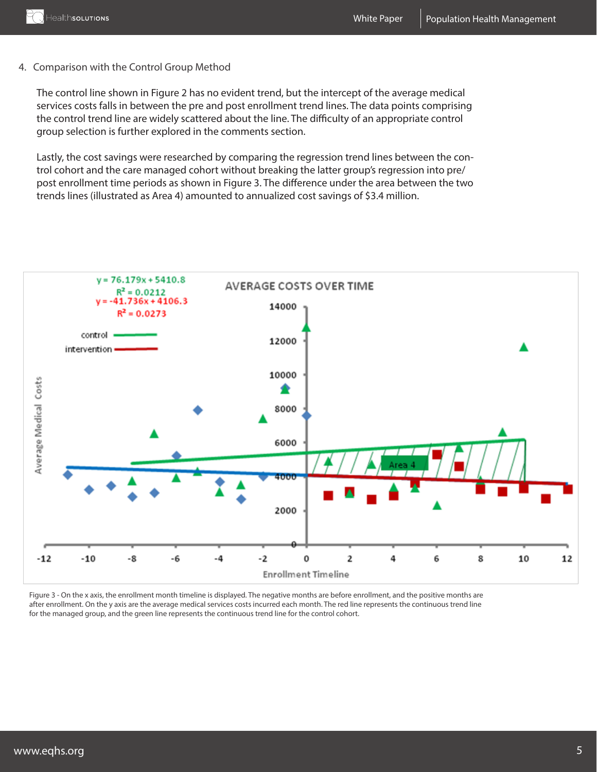## 4. Comparison with the Control Group Method

The control line shown in Figure 2 has no evident trend, but the intercept of the average medical services costs falls in between the pre and post enrollment trend lines. The data points comprising the control trend line are widely scattered about the line. The difficulty of an appropriate control group selection is further explored in the comments section.

Lastly, the cost savings were researched by comparing the regression trend lines between the control cohort and the care managed cohort without breaking the latter group's regression into pre/ post enrollment time periods as shown in Figure 3. The difference under the area between the two trends lines (illustrated as Area 4) amounted to annualized cost savings of \$3.4 million.



Figure 3 - On the x axis, the enrollment month timeline is displayed. The negative months are before enrollment, and the positive months are after enrollment. On the y axis are the average medical services costs incurred each month. The red line represents the continuous trend line for the managed group, and the green line represents the continuous trend line for the control cohort.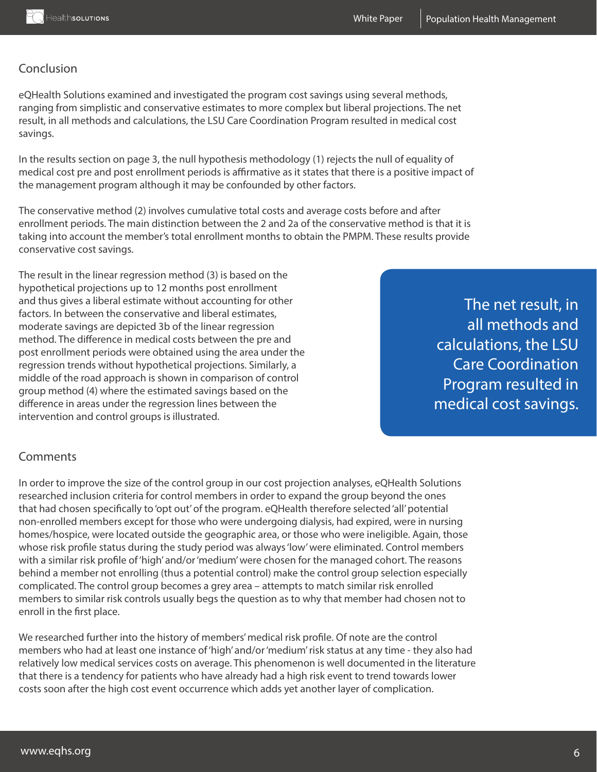## Conclusion

eQHealth Solutions examined and investigated the program cost savings using several methods, ranging from simplistic and conservative estimates to more complex but liberal projections. The net result, in all methods and calculations, the LSU Care Coordination Program resulted in medical cost savings.

In the results section on page 3, the null hypothesis methodology (1) rejects the null of equality of medical cost pre and post enrollment periods is affirmative as it states that there is a positive impact of the management program although it may be confounded by other factors.

The conservative method (2) involves cumulative total costs and average costs before and after enrollment periods. The main distinction between the 2 and 2a of the conservative method is that it is taking into account the member's total enrollment months to obtain the PMPM. These results provide conservative cost savings.

The result in the linear regression method (3) is based on the hypothetical projections up to 12 months post enrollment and thus gives a liberal estimate without accounting for other factors. In between the conservative and liberal estimates, moderate savings are depicted 3b of the linear regression method. The difference in medical costs between the pre and post enrollment periods were obtained using the area under the regression trends without hypothetical projections. Similarly, a middle of the road approach is shown in comparison of control group method (4) where the estimated savings based on the difference in areas under the regression lines between the intervention and control groups is illustrated.

The net result, in all methods and calculations, the LSU Care Coordination Program resulted in medical cost savings.

## Comments

In order to improve the size of the control group in our cost projection analyses, eQHealth Solutions researched inclusion criteria for control members in order to expand the group beyond the ones that had chosen specifically to 'opt out' of the program. eQHealth therefore selected 'all' potential non-enrolled members except for those who were undergoing dialysis, had expired, were in nursing homes/hospice, were located outside the geographic area, or those who were ineligible. Again, those whose risk profile status during the study period was always 'low' were eliminated. Control members with a similar risk profile of 'high' and/or 'medium' were chosen for the managed cohort. The reasons behind a member not enrolling (thus a potential control) make the control group selection especially complicated. The control group becomes a grey area – attempts to match similar risk enrolled members to similar risk controls usually begs the question as to why that member had chosen not to enroll in the first place.

We researched further into the history of members' medical risk profile. Of note are the control members who had at least one instance of 'high' and/or 'medium' risk status at any time - they also had relatively low medical services costs on average. This phenomenon is well documented in the literature that there is a tendency for patients who have already had a high risk event to trend towards lower costs soon after the high cost event occurrence which adds yet another layer of complication.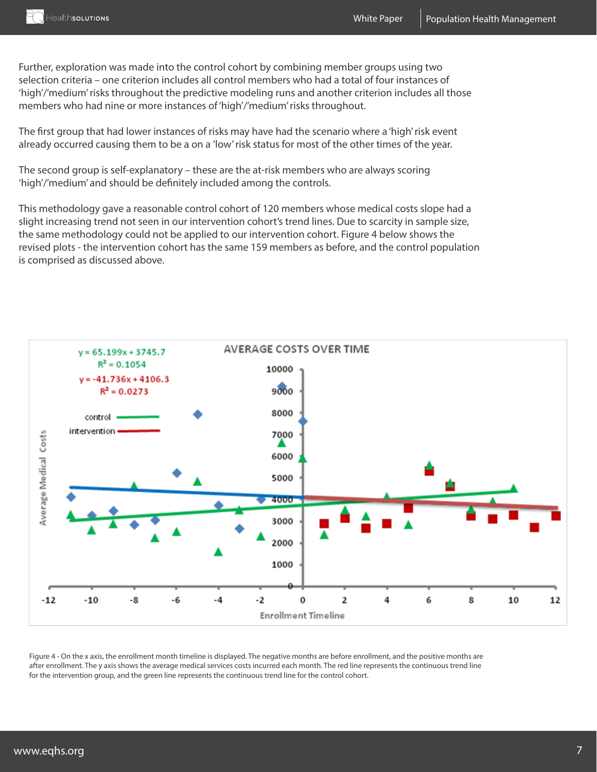

Further, exploration was made into the control cohort by combining member groups using two selection criteria – one criterion includes all control members who had a total of four instances of 'high'/'medium' risks throughout the predictive modeling runs and another criterion includes all those members who had nine or more instances of 'high'/'medium' risks throughout.

The first group that had lower instances of risks may have had the scenario where a 'high' risk event already occurred causing them to be a on a 'low' risk status for most of the other times of the year.

The second group is self-explanatory – these are the at-risk members who are always scoring 'high'/'medium' and should be definitely included among the controls.

This methodology gave a reasonable control cohort of 120 members whose medical costs slope had a slight increasing trend not seen in our intervention cohort's trend lines. Due to scarcity in sample size, the same methodology could not be applied to our intervention cohort. Figure 4 below shows the revised plots - the intervention cohort has the same 159 members as before, and the control population is comprised as discussed above.



Figure 4 - On the x axis, the enrollment month timeline is displayed. The negative months are before enrollment, and the positive months are after enrollment. The y axis shows the average medical services costs incurred each month. The red line represents the continuous trend line for the intervention group, and the green line represents the continuous trend line for the control cohort.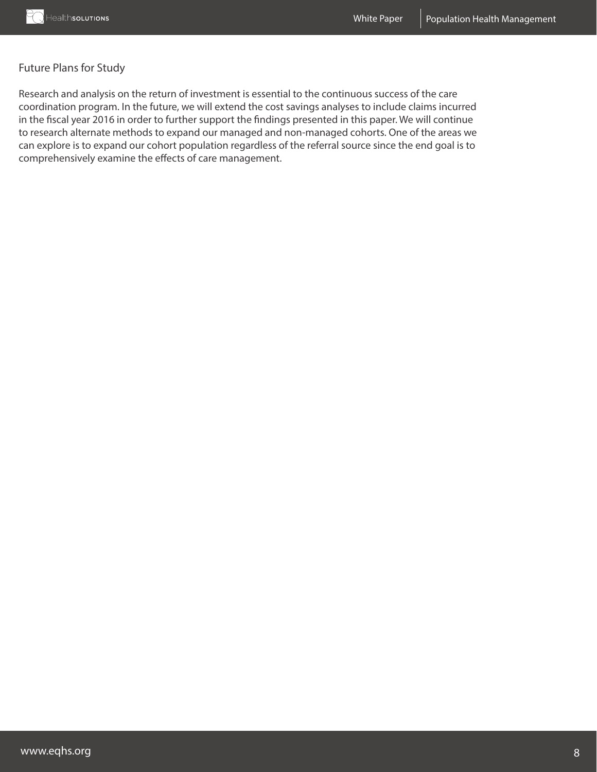## Future Plans for Study

Research and analysis on the return of investment is essential to the continuous success of the care coordination program. In the future, we will extend the cost savings analyses to include claims incurred in the fiscal year 2016 in order to further support the findings presented in this paper. We will continue to research alternate methods to expand our managed and non-managed cohorts. One of the areas we can explore is to expand our cohort population regardless of the referral source since the end goal is to comprehensively examine the effects of care management.